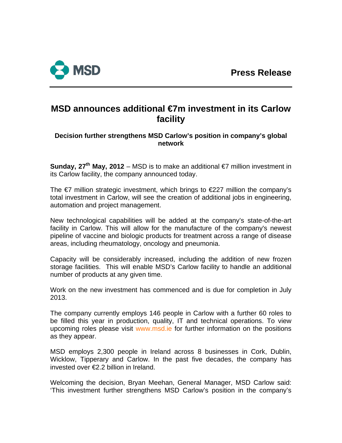

# **MSD announces additional €7m investment in its Carlow facility**

## **Decision further strengthens MSD Carlow's position in company's global network**

**Sunday. 27<sup>th</sup> May, 2012** – MSD is to make an additional  $\epsilon$ 7 million investment in its Carlow facility, the company announced today.

The  $\epsilon$ 7 million strategic investment, which brings to  $\epsilon$ 227 million the company's total investment in Carlow, will see the creation of additional jobs in engineering, automation and project management.

New technological capabilities will be added at the company's state-of-the-art facility in Carlow. This will allow for the manufacture of the company's newest pipeline of vaccine and biologic products for treatment across a range of disease areas, including rheumatology, oncology and pneumonia.

Capacity will be considerably increased, including the addition of new frozen storage facilities. This will enable MSD's Carlow facility to handle an additional number of products at any given time.

Work on the new investment has commenced and is due for completion in July 2013.

The company currently employs 146 people in Carlow with a further 60 roles to be filled this year in production, quality, IT and technical operations. To view upcoming roles please visit [www.msd.ie](http://www.msd.ie/) for further information on the positions as they appear.

MSD employs 2,300 people in Ireland across 8 businesses in Cork, Dublin, Wicklow, Tipperary and Carlow. In the past five decades, the company has invested over €2.2 billion in Ireland.

Welcoming the decision, Bryan Meehan, General Manager, MSD Carlow said: 'This investment further strengthens MSD Carlow's position in the company's